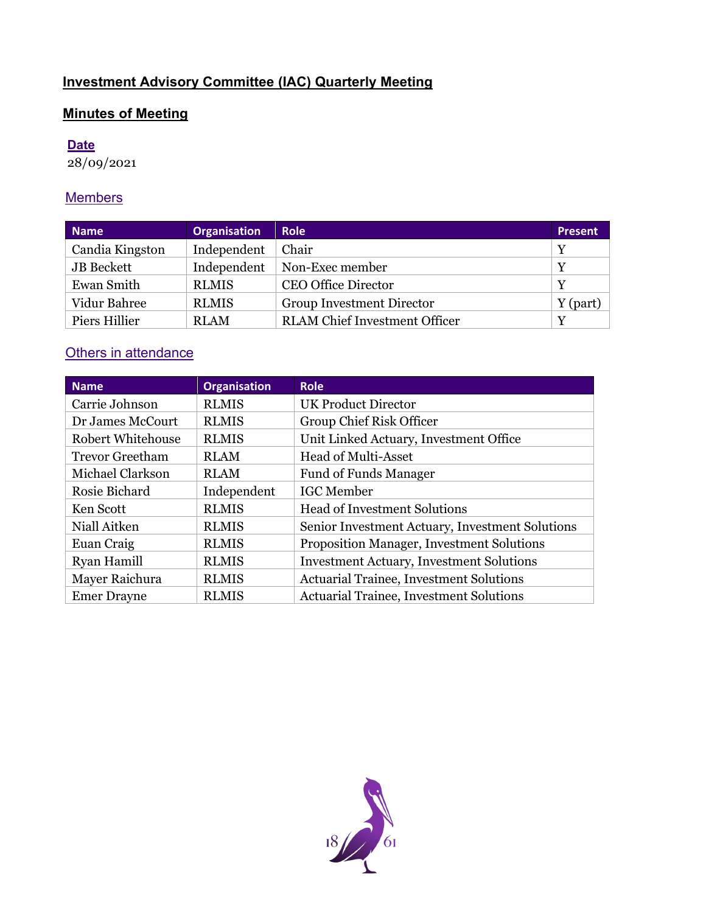# **Investment Advisory Committee (IAC) Quarterly Meeting**

# **Minutes of Meeting**

## **Date**

28/09/2021

## **Members**

| <b>Name</b>     | <b>Organisation</b> | <b>Role</b>                          | Present    |
|-----------------|---------------------|--------------------------------------|------------|
| Candia Kingston | Independent         | Chair                                | Y          |
| JB Beckett      | Independent         | Non-Exec member                      | Y          |
| Ewan Smith      | <b>RLMIS</b>        | <b>CEO Office Director</b>           | Y          |
| Vidur Bahree    | <b>RLMIS</b>        | <b>Group Investment Director</b>     | $Y$ (part) |
| Piers Hillier   | <b>RLAM</b>         | <b>RLAM</b> Chief Investment Officer | Y          |

# **Others in attendance**

| <b>Name</b>              | <b>Organisation</b> | <b>Role</b>                                      |
|--------------------------|---------------------|--------------------------------------------------|
| Carrie Johnson           | <b>RLMIS</b>        | <b>UK Product Director</b>                       |
| Dr James McCourt         | <b>RLMIS</b>        | Group Chief Risk Officer                         |
| <b>Robert Whitehouse</b> | <b>RLMIS</b>        | Unit Linked Actuary, Investment Office           |
| <b>Trevor Greetham</b>   | <b>RLAM</b>         | <b>Head of Multi-Asset</b>                       |
| Michael Clarkson         | <b>RLAM</b>         | <b>Fund of Funds Manager</b>                     |
| Rosie Bichard            | Independent         | <b>IGC</b> Member                                |
| Ken Scott                | <b>RLMIS</b>        | <b>Head of Investment Solutions</b>              |
| Niall Aitken             | <b>RLMIS</b>        | Senior Investment Actuary, Investment Solutions  |
| Euan Craig               | <b>RLMIS</b>        | <b>Proposition Manager, Investment Solutions</b> |
| <b>Ryan Hamill</b>       | <b>RLMIS</b>        | <b>Investment Actuary, Investment Solutions</b>  |
| Mayer Raichura           | <b>RLMIS</b>        | <b>Actuarial Trainee, Investment Solutions</b>   |
| <b>Emer Drayne</b>       | <b>RLMIS</b>        | <b>Actuarial Trainee, Investment Solutions</b>   |

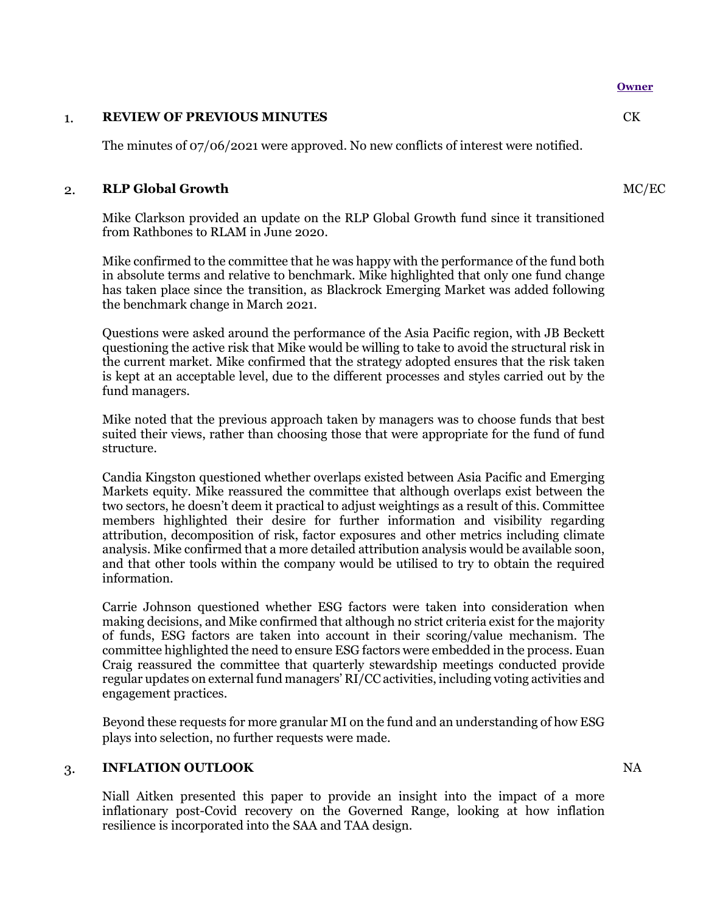#### **Owner**

#### 1. **REVIEW OF PREVIOUS MINUTES**

The minutes of 07/06/2021 were approved. No new conflicts of interest were notified.

#### 2. **RLP Global Growth**

Mike Clarkson provided an update on the RLP Global Growth fund since it transitioned from Rathbones to RLAM in June 2020.

Mike confirmed to the committee that he was happy with the performance of the fund both in absolute terms and relative to benchmark. Mike highlighted that only one fund change has taken place since the transition, as Blackrock Emerging Market was added following the benchmark change in March 2021.

Questions were asked around the performance of the Asia Pacific region, with JB Beckett questioning the active risk that Mike would be willing to take to avoid the structural risk in the current market. Mike confirmed that the strategy adopted ensures that the risk taken is kept at an acceptable level, due to the different processes and styles carried out by the fund managers.

Mike noted that the previous approach taken by managers was to choose funds that best suited their views, rather than choosing those that were appropriate for the fund of fund structure.

Candia Kingston questioned whether overlaps existed between Asia Pacific and Emerging Markets equity. Mike reassured the committee that although overlaps exist between the two sectors, he doesn't deem it practical to adjust weightings as a result of this. Committee members highlighted their desire for further information and visibility regarding attribution, decomposition of risk, factor exposures and other metrics including climate analysis. Mike confirmed that a more detailed attribution analysis would be available soon, and that other tools within the company would be utilised to try to obtain the required information.

Carrie Johnson questioned whether ESG factors were taken into consideration when making decisions, and Mike confirmed that although no strict criteria exist for the majority of funds, ESG factors are taken into account in their scoring/value mechanism. The committee highlighted the need to ensure ESG factors were embedded in the process. Euan Craig reassured the committee that quarterly stewardship meetings conducted provide regular updates on external fund managers' RI/CC activities, including voting activities and engagement practices.

Beyond these requests for more granular MI on the fund and an understanding of how ESG plays into selection, no further requests were made.

## 3. **INFLATION OUTLOOK**

Niall Aitken presented this paper to provide an insight into the impact of a more inflationary post-Covid recovery on the Governed Range, looking at how inflation resilience is incorporated into the SAA and TAA design.

 $CK$ 

NA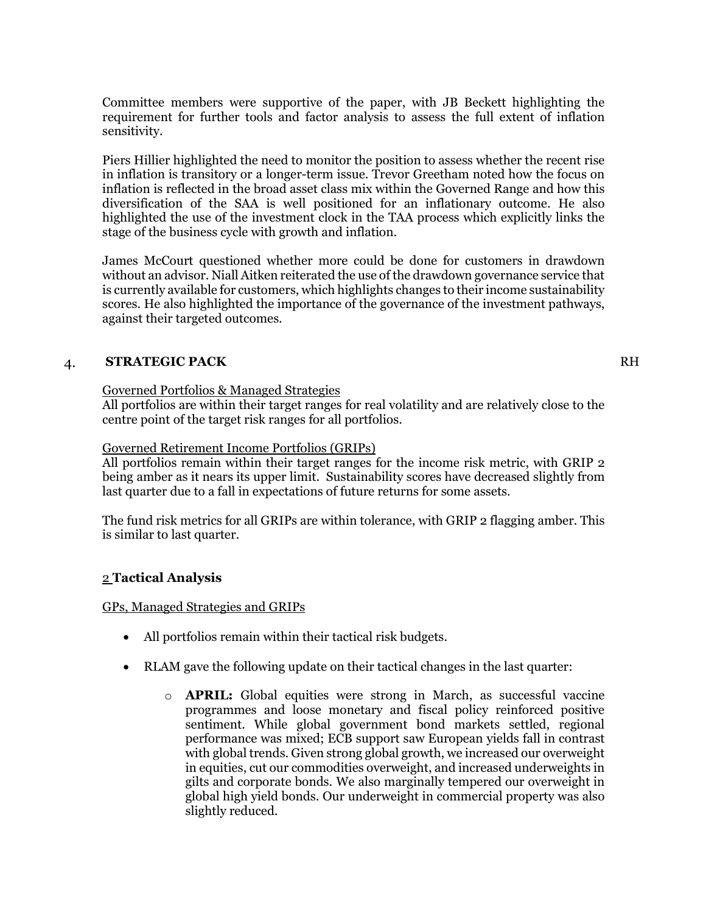Committee members were supportive of the paper, with JB Beckett highlighting the requirement for further tools and factor analysis to assess the full extent of inflation sensitivity.

Piers Hillier highlighted the need to monitor the position to assess whether the recent rise in inflation is transitory or a longer-term issue. Trevor Greetham noted how the focus on inflation is reflected in the broad asset class mix within the Governed Range and how this diversification of the SAA is well positioned for an inflationary outcome. He also highlighted the use of the investment clock in the TAA process which explicitly links the stage of the business cycle with growth and inflation.

James McCourt questioned whether more could be done for customers in drawdown without an advisor. Niall Aitken reiterated the use of the drawdown governance service that is currently available for customers, which highlights changes to their income sustainability scores. He also highlighted the importance of the governance of the investment pathways, against their targeted outcomes.

## 4. **STRATEGIC PACK**

### Governed Portfolios & Managed Strategies

All portfolios are within their target ranges for real volatility and are relatively close to the centre point of the target risk ranges for all portfolios.

#### Governed Retirement Income Portfolios (GRIPs)

All portfolios remain within their target ranges for the income risk metric, with GRIP 2 being amber as it nears its upper limit. Sustainability scores have decreased slightly from last quarter due to a fall in expectations of future returns for some assets.

The fund risk metrics for all GRIPs are within tolerance, with GRIP 2 flagging amber. This is similar to last quarter.

#### 2 **Tactical Analysis**

#### GPs, Managed Strategies and GRIPs

- All portfolios remain within their tactical risk budgets.
- RLAM gave the following update on their tactical changes in the last quarter:
	- o **APRIL:** Global equities were strong in March, as successful vaccine programmes and loose monetary and fiscal policy reinforced positive sentiment. While global government bond markets settled, regional performance was mixed; ECB support saw European yields fall in contrast with global trends. Given strong global growth, we increased our overweight in equities, cut our commodities overweight, and increased underweights in gilts and corporate bonds. We also marginally tempered our overweight in global high yield bonds. Our underweight in commercial property was also slightly reduced.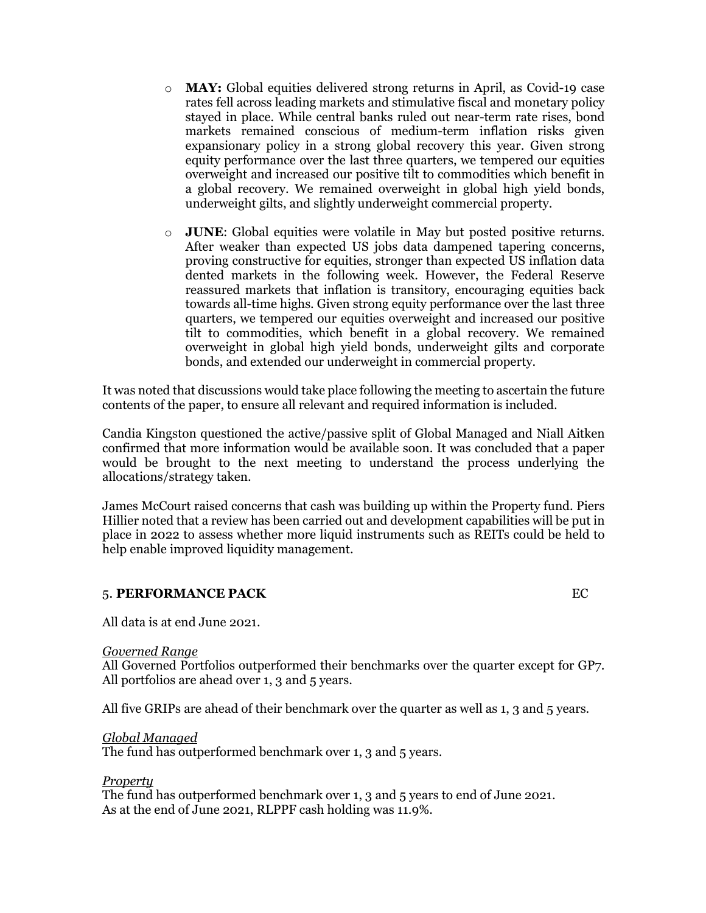- o **MAY:** Global equities delivered strong returns in April, as Covid-19 case rates fell across leading markets and stimulative fiscal and monetary policy stayed in place. While central banks ruled out near-term rate rises, bond markets remained conscious of medium-term inflation risks given expansionary policy in a strong global recovery this year. Given strong equity performance over the last three quarters, we tempered our equities overweight and increased our positive tilt to commodities which benefit in a global recovery. We remained overweight in global high yield bonds, underweight gilts, and slightly underweight commercial property.
- o **JUNE**: Global equities were volatile in May but posted positive returns. After weaker than expected US jobs data dampened tapering concerns, proving constructive for equities, stronger than expected US inflation data dented markets in the following week. However, the Federal Reserve reassured markets that inflation is transitory, encouraging equities back towards all-time highs. Given strong equity performance over the last three quarters, we tempered our equities overweight and increased our positive tilt to commodities, which benefit in a global recovery. We remained overweight in global high yield bonds, underweight gilts and corporate bonds, and extended our underweight in commercial property.

It was noted that discussions would take place following the meeting to ascertain the future contents of the paper, to ensure all relevant and required information is included.

Candia Kingston questioned the active/passive split of Global Managed and Niall Aitken confirmed that more information would be available soon. It was concluded that a paper would be brought to the next meeting to understand the process underlying the allocations/strategy taken.

James McCourt raised concerns that cash was building up within the Property fund. Piers Hillier noted that a review has been carried out and development capabilities will be put in place in 2022 to assess whether more liquid instruments such as REITs could be held to help enable improved liquidity management.

## 5. **PERFORMANCE PACK** EC

All data is at end June 2021.

#### *Governed Range*

All Governed Portfolios outperformed their benchmarks over the quarter except for GP7. All portfolios are ahead over 1, 3 and 5 years.

All five GRIPs are ahead of their benchmark over the quarter as well as 1, 3 and 5 years.

#### *Global Managed*

The fund has outperformed benchmark over 1, 3 and 5 years.

#### *Property*

The fund has outperformed benchmark over 1, 3 and 5 years to end of June 2021. As at the end of June 2021, RLPPF cash holding was 11.9%.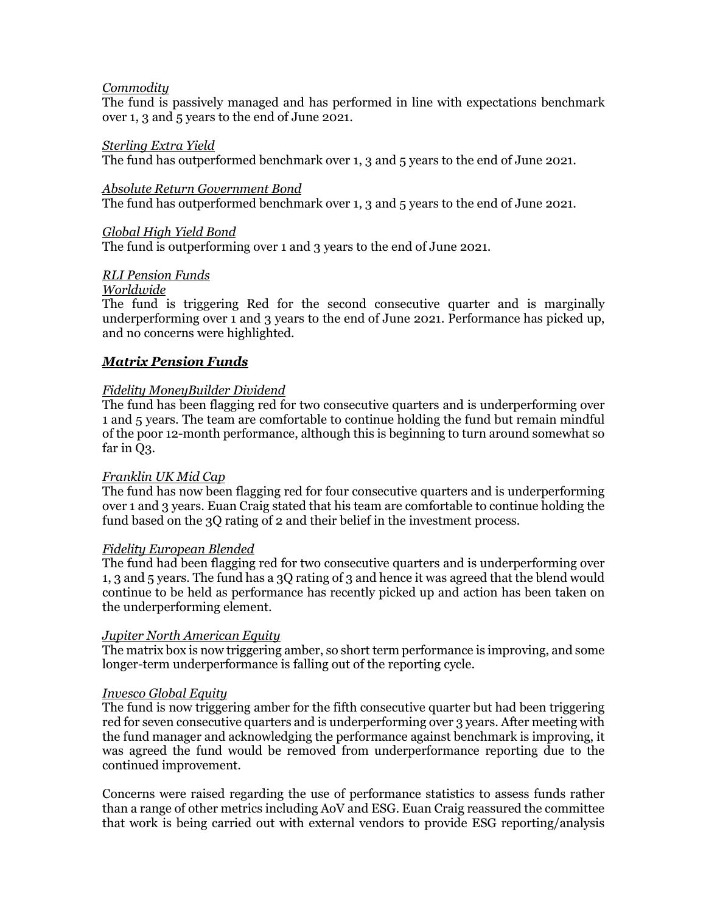#### *Commodity*

The fund is passively managed and has performed in line with expectations benchmark over 1, 3 and 5 years to the end of June 2021.

#### *Sterling Extra Yield*

The fund has outperformed benchmark over 1, 3 and 5 years to the end of June 2021.

*Absolute Return Government Bond*

The fund has outperformed benchmark over 1, 3 and 5 years to the end of June 2021.

#### *Global High Yield Bond*

The fund is outperforming over 1 and 3 years to the end of June 2021.

### *RLI Pension Funds*

### *Worldwide*

The fund is triggering Red for the second consecutive quarter and is marginally underperforming over 1 and 3 years to the end of June 2021. Performance has picked up, and no concerns were highlighted.

### *Matrix Pension Funds*

### *Fidelity MoneyBuilder Dividend*

The fund has been flagging red for two consecutive quarters and is underperforming over 1 and 5 years. The team are comfortable to continue holding the fund but remain mindful of the poor 12-month performance, although this is beginning to turn around somewhat so far in Q3.

#### *Franklin UK Mid Cap*

The fund has now been flagging red for four consecutive quarters and is underperforming over 1 and 3 years. Euan Craig stated that his team are comfortable to continue holding the fund based on the 3Q rating of 2 and their belief in the investment process.

#### *Fidelity European Blended*

The fund had been flagging red for two consecutive quarters and is underperforming over 1, 3 and 5 years. The fund has a 3Q rating of 3 and hence it was agreed that the blend would continue to be held as performance has recently picked up and action has been taken on the underperforming element.

#### *Jupiter North American Equity*

The matrix box is now triggering amber, so short term performance is improving, and some longer-term underperformance is falling out of the reporting cycle.

#### *Invesco Global Equity*

The fund is now triggering amber for the fifth consecutive quarter but had been triggering red for seven consecutive quarters and is underperforming over 3 years. After meeting with the fund manager and acknowledging the performance against benchmark is improving, it was agreed the fund would be removed from underperformance reporting due to the continued improvement.

Concerns were raised regarding the use of performance statistics to assess funds rather than a range of other metrics including AoV and ESG. Euan Craig reassured the committee that work is being carried out with external vendors to provide ESG reporting/analysis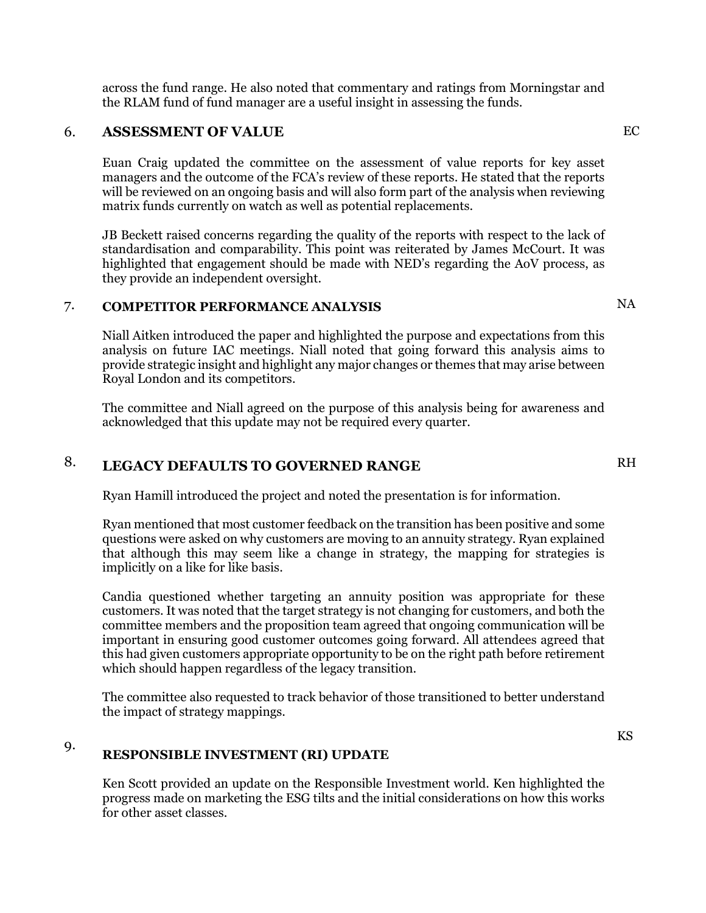across the fund range. He also noted that commentary and ratings from Morningstar and the RLAM fund of fund manager are a useful insight in assessing the funds.

#### 6. **ASSESSMENT OF VALUE**

Euan Craig updated the committee on the assessment of value reports for key asset managers and the outcome of the FCA's review of these reports. He stated that the reports will be reviewed on an ongoing basis and will also form part of the analysis when reviewing matrix funds currently on watch as well as potential replacements.

JB Beckett raised concerns regarding the quality of the reports with respect to the lack of standardisation and comparability. This point was reiterated by James McCourt. It was highlighted that engagement should be made with NED's regarding the AoV process, as they provide an independent oversight.

#### 7. **COMPETITOR PERFORMANCE ANALYSIS**

Niall Aitken introduced the paper and highlighted the purpose and expectations from this analysis on future IAC meetings. Niall noted that going forward this analysis aims to provide strategic insight and highlight any major changes or themes that may arise between Royal London and its competitors.

The committee and Niall agreed on the purpose of this analysis being for awareness and acknowledged that this update may not be required every quarter.

#### 8. **LEGACY DEFAULTS TO GOVERNED RANGE**

Ryan Hamill introduced the project and noted the presentation is for information.

Ryan mentioned that most customer feedback on the transition has been positive and some questions were asked on why customers are moving to an annuity strategy. Ryan explained that although this may seem like a change in strategy, the mapping for strategies is implicitly on a like for like basis.

Candia questioned whether targeting an annuity position was appropriate for these customers. It was noted that the target strategy is not changing for customers, and both the committee members and the proposition team agreed that ongoing communication will be important in ensuring good customer outcomes going forward. All attendees agreed that this had given customers appropriate opportunity to be on the right path before retirement which should happen regardless of the legacy transition.

The committee also requested to track behavior of those transitioned to better understand the impact of strategy mappings.

#### 9. **RESPONSIBLE INVESTMENT (RI) UPDATE**

Ken Scott provided an update on the Responsible Investment world. Ken highlighted the progress made on marketing the ESG tilts and the initial considerations on how this works for other asset classes.

NA

EC